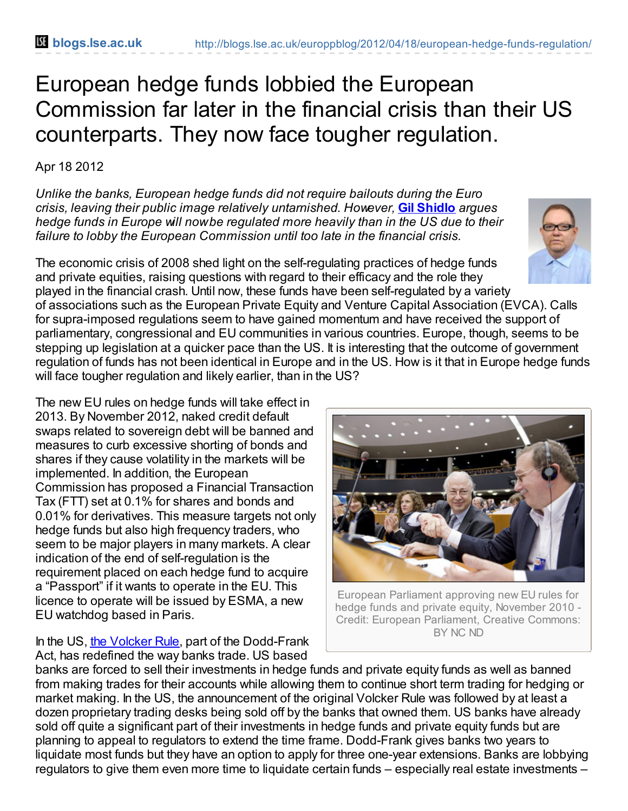## European hedge funds lobbied the European Commission far later in the financial crisis than their US counterparts. They now face tougher regulation.

## Apr 18 2012

*Unlike the banks, European hedge funds did not require bailouts during the Euro crisis, leaving their public image relatively untarnished. However,* **Gil [Shidlo](http://blogs.lse.ac.uk/europpblog/?p=2060#Author)** *argues hedge funds in Europe will nowbe regulated more heavily than in the US due to their failure to lobby the European Commission until too late in the financial crisis.*

The economic crisis of 2008 shed light on the self-regulating practices of hedge funds and private equities, raising questions with regard to their efficacy and the role they played in the financial crash. Until now, these funds have been self-regulated by a variety

of associations such as the European Private Equity and Venture Capital Association (EVCA). Calls for supra-imposed regulations seem to have gained momentum and have received the support of parliamentary, congressional and EU communities in various countries. Europe, though, seems to be stepping up legislation at a quicker pace than the US. It is interesting that the outcome of government regulation of funds has not been identical in Europe and in the US. How is it that in Europe hedge funds will face tougher regulation and likely earlier, than in the US?

The new EU rules on hedge funds will take effect in 2013. By November 2012, naked credit default swaps related to sovereign debt will be banned and measures to curb excessive shorting of bonds and shares if they cause volatility in the markets will be implemented. In addition, the European Commission has proposed a Financial Transaction Tax (FTT) set at 0.1% for shares and bonds and 0.01% for derivatives. This measure targets not only hedge funds but also high frequency traders, who seem to be major players in many markets. A clear indication of the end of self-regulation is the requirement placed on each hedge fund to acquire a "Passport" if it wants to operate in the EU. This licence to operate will be issued by ESMA, a new EU watchdog based in Paris.

In the US, the [Volcker](http://en.wikipedia.org/wiki/Volcker_Rule) Rule, part of the Dodd-Frank Act, has redefined the way banks trade. US based

banks are forced to sell their investments in hedge funds and private equity funds as well as banned from making trades for their accounts while allowing them to continue short term trading for hedging or market making. In the US, the announcement of the original Volcker Rule was followed by at least a dozen proprietary trading desks being sold off by the banks that owned them. US banks have already sold off quite a significant part of their investments in hedge funds and private equity funds but are planning to appeal to regulators to extend the time frame. Dodd-Frank gives banks two years to liquidate most funds but they have an option to apply for three one-year extensions. Banks are lobbying regulators to give them even more time to liquidate certain funds – especially real estate investments –

European Parliament approving new EU rules for hedge funds and private equity, November 2010 - Credit: European Parliament, Creative Commons: BY NC ND



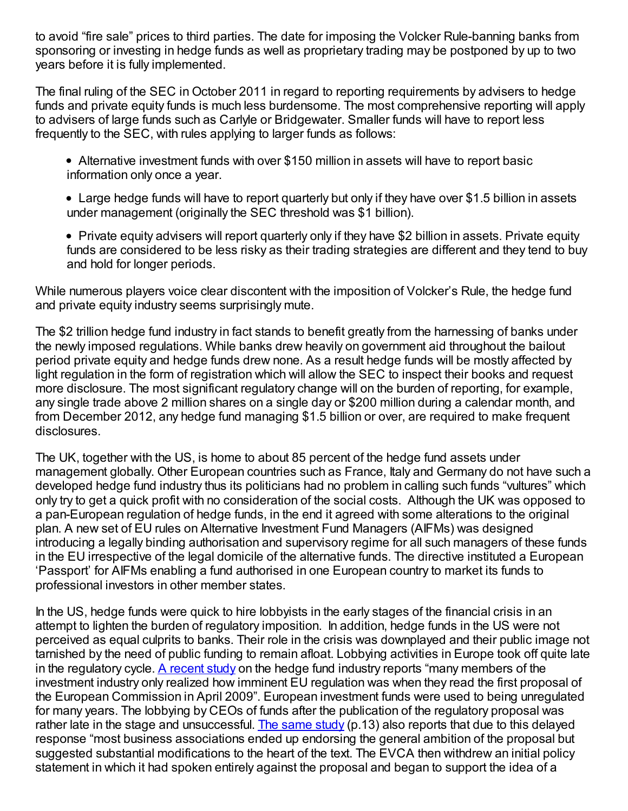to avoid "fire sale" prices to third parties. The date for imposing the Volcker Rule-banning banks from sponsoring or investing in hedge funds as well as proprietary trading may be postponed by up to two years before it is fully implemented.

The final ruling of the SEC in October 2011 in regard to reporting requirements by advisers to hedge funds and private equity funds is much less burdensome. The most comprehensive reporting will apply to advisers of large funds such as Carlyle or Bridgewater. Smaller funds will have to report less frequently to the SEC, with rules applying to larger funds as follows:

- Alternative investment funds with over \$150 million in assets will have to report basic information only once a year.
- Large hedge funds will have to report quarterly but only if they have over \$1.5 billion in assets under management (originally the SEC threshold was \$1 billion).
- Private equity advisers will report quarterly only if they have \$2 billion in assets. Private equity funds are considered to be less risky as their trading strategies are different and they tend to buy and hold for longer periods.

While numerous players voice clear discontent with the imposition of Volcker's Rule, the hedge fund and private equity industry seems surprisingly mute.

The \$2 trillion hedge fund industry in fact stands to benefit greatly from the harnessing of banks under the newly imposed regulations. While banks drew heavily on government aid throughout the bailout period private equity and hedge funds drew none. As a result hedge funds will be mostly affected by light regulation in the form of registration which will allow the SEC to inspect their books and request more disclosure. The most significant regulatory change will on the burden of reporting, for example, any single trade above 2 million shares on a single day or \$200 million during a calendar month, and from December 2012, any hedge fund managing \$1.5 billion or over, are required to make frequent disclosures.

The UK, together with the US, is home to about 85 percent of the hedge fund assets under management globally. Other European countries such as France, Italy and Germany do not have such a developed hedge fund industry thus its politicians had no problem in calling such funds "vultures" which only try to get a quick profit with no consideration of the social costs. Although the UK was opposed to a pan-European regulation of hedge funds, in the end it agreed with some alterations to the original plan. A new set of EU rules on Alternative Investment Fund Managers (AIFMs) was designed introducing a legally binding authorisation and supervisory regime for all such managers of these funds in the EU irrespective of the legal domicile of the alternative funds. The directive instituted a European 'Passport' for AIFMs enabling a fund authorised in one European country to market its funds to professional investors in other member states.

In the US, hedge funds were quick to hire lobbyists in the early stages of the financial crisis in an attempt to lighten the burden of regulatory imposition. In addition, hedge funds in the US were not perceived as equal culprits to banks. Their role in the crisis was downplayed and their public image not tarnished by the need of public funding to remain afloat. Lobbying activities in Europe took off quite late in the regulatory cycle. A [recent](http://www.cee.sciences-po.fr/erpa/docs/wp_2011_2.pdf) study on the hedge fund industry reports "many members of the investment industry only realized how imminent EU regulation was when they read the first proposal of the European Commission in April 2009". European investment funds were used to being unregulated for many years. The lobbying by CEOs of funds after the publication of the regulatory proposal was rather late in the stage and unsuccessful. The [same](http://www.cee.sciences-po.fr/erpa/docs/wp_2011_2.pdf) study ( $p.13$ ) also reports that due to this delayed response "most business associations ended up endorsing the general ambition of the proposal but suggested substantial modifications to the heart of the text. The EVCA then withdrew an initial policy statement in which it had spoken entirely against the proposal and began to support the idea of a